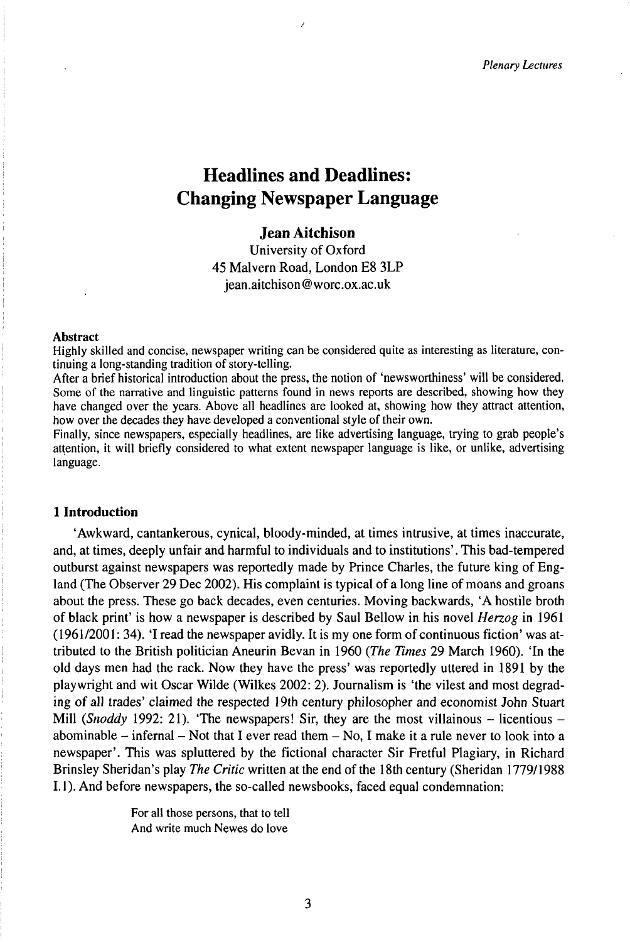# Headlines and Deadlines: Changing Newspaper Language

# **Jean Aitchison**

University of Oxford 45 Malvern Road, London E8 3LP jean.aitchison@worc.ox.ac.uk

## **Abstract**

Highly skilled and concise, newspaper writing can be considered quite as interesting as literature, continuing a long-standing tradition of story-telling.

After a brief historical introduction about the press, the notion of 'newsworthiness' will be considered. Some of the narrative and linguistic patterns found in news reports are described, showing how they have changed over the years. Above all headlines are looked at, showing how they attract attention, how over the decades they have developed a conventional style of their own.

Finally, since newspapers, especially headlines, are like advertising language, trying to grab people's attention, it will briefly considered to what extent newspaper language is like, or unlike, advertising language.

#### **1 Introduction**

'Awkward, cantankerous, cynical, bloody-minded, at times intrusive, at times inaccurate, and, at times, deeply unfair and harmful to individuals and to institutions'. This bad-tempered outburst against newspapers was reportedly made by Prince Charles, the future king of England (The Observer 29 Dec 2002). His complaint is typical of a long line of moans and groans about the press. These go back decades, even centuries. Moving backwards, 'A hostile broth of black print' is how a newspaper is described by Saul Bellow in his novel *Herzog* in 1961  $(1961/2001: 34)$ . 'I read the newspaper avidly. It is my one form of continuous fiction' was attributed to the British politician Aneurin Bevan in 1960 *(The Times* 29 March 1960). 'In the old days men had the rack. Now they have the press' was reportedly uttered in 1891 by the playwright and wit Oscar Wilde (Wilkes 2002: 2). Journalism is 'the vilest and most degrading of all trades' claimed the respected 19th century philosopher and economist John Stuart Mill *(Snoddy* 1992: 21). 'The newspapers! Sir, they are the most villainous - licentious abominable  $-$  infernal  $-$  Not that I ever read them  $-$  No, I make it a rule never to look into a newspaper'. This was spluttered by the fictional character Sir Fretful Plagiary, in Richard Brinsley Sheridan's play *The Critic* written at the end ofthe 18th century (Sheridan 1779/1988 1.1). And before newspapers, the so-called newsbooks, faced equal condemnation:

> For all those persons, that to tell And write much Newes do love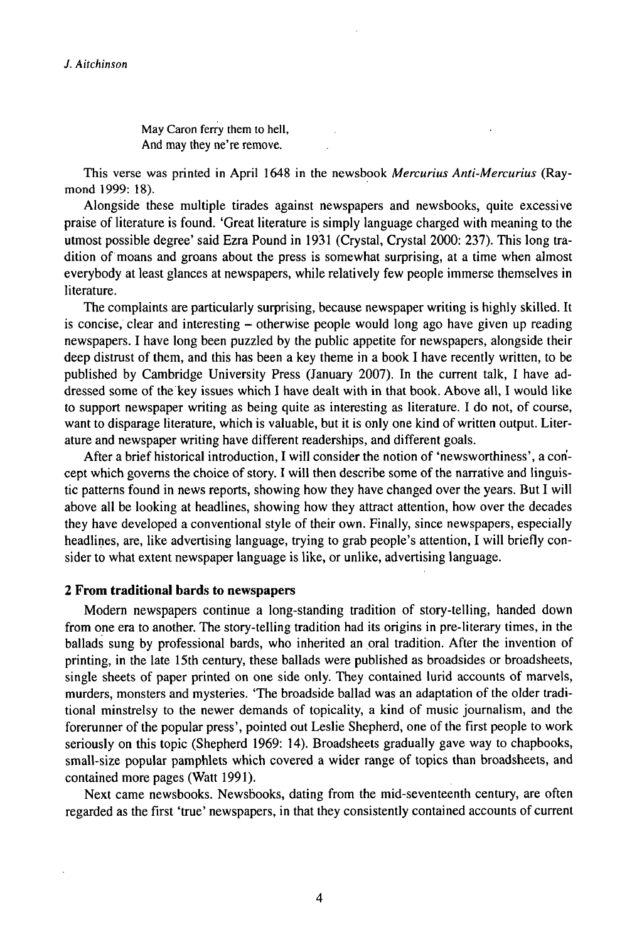May Caron ferry them to hell, And may they ne're remove.

This verse was printed in April 1648 in the newsbook *Mercurius Anti-Mercurius* (Raymond 1999: 18).

Alongside these multiple tirades against newspapers and newsbooks, quite excessive praise of literature is found. 'Great literature is simply language charged with meaning to the utmost possible degree' said Ezra Pound in 1931 (Crystal, Crystal 2000: 237). This long tradition of moans and groans about the press is somewhat surprising, at a time when almost everybody at least glances at newspapers, while relatively few people immerse themselves in literature.

The complaints are particularly surprising, because newspaper writing is highly skilled. It is concise, clear and interesting - otherwise people would long ago have given up reading newspapers. I have long been puzzled by the public appetite for newspapers, alongside their deep distrust of them, and this has been a key theme in a book I have recently written, to be published by Cambridge University Press (January 2007). In the current talk, I have addressed some of thekey issues which I have dealt with in that book. Above all, I would like to support newspaper writing as being quite as interesting as literature. I do not, of course, want to disparage literature, which is valuable, but it is only one kind of written output. Literature and newspaper writing have different readerships, and different goals.

After a briefhistorical introduction, I will consider the notion of 'newsworthiness', a concept which governs the choice of story. I will then describe some of the narrative and linguistic patterns found in news reports, showing how they have changed over the years. But I will above all be looking at headlines, showing how they attract attention, how over the decades they have developed a conventional style of their own. Finally, since newspapers, especially headlines, are, like advertising language, trying to grab people's attention, I will briefly consider to what extent newspaper language is like, or unlike, advertising language.

# **2 From traditional bards to newspapers**

Modern newspapers continue a long-standing tradition of story-telling, handed down from one era to another. The story-telling tradition had its origins in pre-literary times, in the ballads sung by professional bards, who inherited an pral tradition. After the invention of printing, in the late 15th century, these ballads were published as broadsides or broadsheets, single sheets of paper printed on one side only. They contained lurid accounts of marvels, murders, monsters and mysteries. 'The broadside ballad was an adaptation of the older traditional minstrelsy to the newer demands of topicality, a kind of music journalism, and the forerunner of the popular press', pointed out Leslie Shepherd, one of the first people to work seriously on this topic (Shepherd 1969: 14). Broadsheets gradually gave way to chapbooks, small-size popular pamphlets which covered a wider range of topics than broadsheets, and contained more pages (Watt 1991).

Next came newsbooks. Newsbooks, dating from the mid-seventeenth century, are often regarded as the first 'true' newspapers, in that they consistently contained accounts of current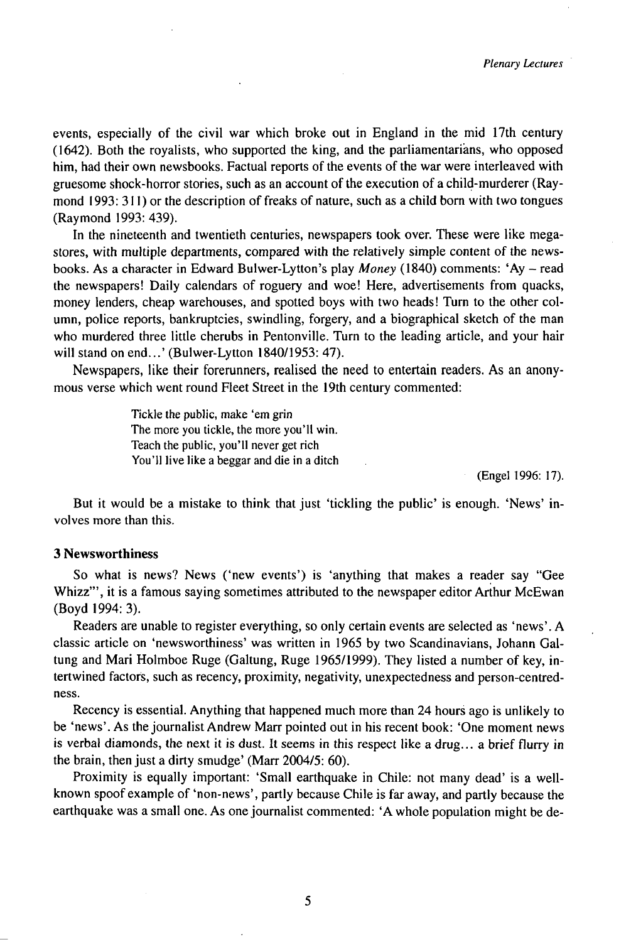events, especially of the civil war which broke out in England in the mid 17th century (1642). Both the royalists, who supported the king, and the parliamentarians, who opposed him, had their own newsbooks. Factual reports of the events of the war were interleaved with gruesome shock-horror stories, such as an account of the execution of a child-murderer (Raymond 1993: 311 ) or the description of freaks of nature, such as a child born with two tongues (Raymond 1993:439).

In the nineteenth and twentieth centuries, newspapers took over. These were like megastores, with multiple departments, compared with the relatively simple content of the newsbooks. As <sup>a</sup> character in Edward Bulwer-Lytton's play *Money* (1840) comments: 'Ay - read the newspapers! Daily calendars of roguery and woe! Here, advertisements from quacks, money lenders, cheap warehouses, and spotted boys with two heads! Turn to the other column, police reports, bankruptcies, swindling, forgery, and a biographical sketch of the man who murdered three little cherubs in Pentonville. Turn to the leading article, and your hair will stand on end...' (Bulwer-Lytton 1840/1953: 47).

Newspapers, like their forerunners, realised the need to entertain readers. As an anonymous verse which went round Fleet Street in the 19th century commented:

> Tickle the public, make 'em grin The more you tickle, the more you'll win. Teach the public, you'll never get rich You'll live like a beggar and die in a ditch

> > (Engel 1996: 17).

But it would be a mistake to think that just 'tickling the public' is enough. 'News' involves more than this.

# 3 Newsworthiness

So what is news? News ('new events') is 'anything that makes a reader say "Gee Whizz'", it is a famous saying sometimes attributed to the newspaper editorArthur McEwan (Boyd 1994: 3).

Readers are unable to register everything, so only certain events are selected as 'news'.A classic article on 'newsworthiness' was written in 1965 by two Scandinavians, Johann Galtung and Mari Holmboe Ruge (Galtung, Ruge 1965/1999). They listed a number of key, intertwined factors, such as recency, proximity, negativity, unexpectedness and person-centredness.

Recency is essential. Anything that happened much more than 24 hours ago is unlikely to be 'news'. As the journalist Andrew Marr pointed out in his recent book: 'One moment news is verbal diamonds, the next it is dust. It seems in this respect like a drug... a brief flurry in the brain, then just a dirty smudge' (Marr 2004/5: 60).

Proximity is equally important: 'Small earthquake in Chile: not many dead' is a wellknown spoof example of 'non-news', partly because Chile is far away, and partly because the earthquake was a small one. As one journalist commented: 'A whole population might be de-

5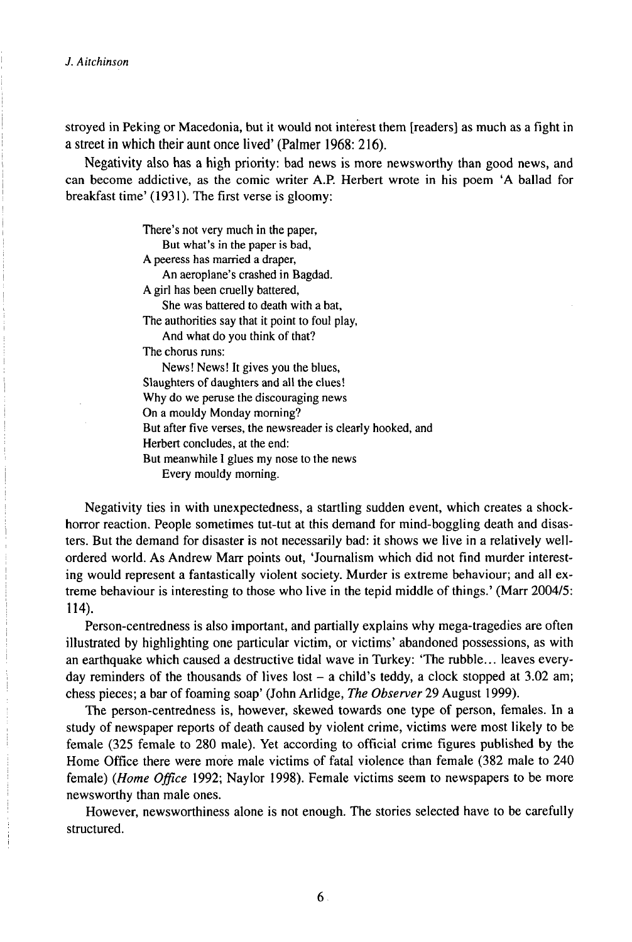stroyed in Peking or Macedonia, but it would not interest them [readers] as much as a fight in a street in which their aunt once lived' (Palmer 1968: 216).

Negativity also has a high priority: bad news is more newsworthy than good news, and can become addictive, as the comic writer A.P. Herbert wrote in his poem 'A ballad for breakfast time' (1931). The first verse is gloomy:

> There's not very much in the paper, But what's in the paper is bad, A peeress has married a draper, An aeroplane's crashed in Bagdad. A girl has been cruelly battered, She was battered to death with a bat, The authorities say that it point to foul play, And what do you think of that? The chorus runs: News! News! It gives you the blues, Slaughters of daughters and all the clues! Why do we peruse the discouraging news On a mouldy Monday morning? But after five verses, the newsreader is clearly hooked, and Herbert concludes, at the end:

But meanwhile I glues my nose to the news

Every mouldy morning.

Negativity ties in with unexpectedness, a startling sudden event, which creates a shockhorror reaction. People sometimes tut-tut at this demand for mind-boggling death and disasters. But the demand for disaster is not necessarily bad: it shows we live in a relatively wellordered world. As Andrew Marr points out, 'Journalism which did not find murder interesting would represent a fantastically violent society. Murder is extreme behaviour; and all extreme behaviour is interesting to those who live in the tepid middle of things.' (Marr 2004/5: 114).

Person-centredness is also important, and partially explains why mega-tragedies are often illustrated by highlighting one particular victim, or victims' abandoned possessions, as with an earthquake which caused a destructive tidal wave in Turkey: 'The rubble... leaves everyday reminders of the thousands of lives lost  $-$  a child's teddy, a clock stopped at 3.02 am; chess pieces; a bar of foaming soap' (John Arlidge, *The Observer* 29 August 1999).

The person-centredness is, however, skewed towards one type of person, females. In a study of newspaper reports of death caused by violent crime, victims were most likely to be female (325 female to 280 male). Yet according to official crime figures published by the Home Office there were more male victims of fatal violence than female (382 male to 240 female) *(Home Office* 1992; Naylor 1998). Female victims seem to newspapers to be more newsworthy than male ones.

However, newsworthiness alone is not enough. The stories selected have to be carefully structured.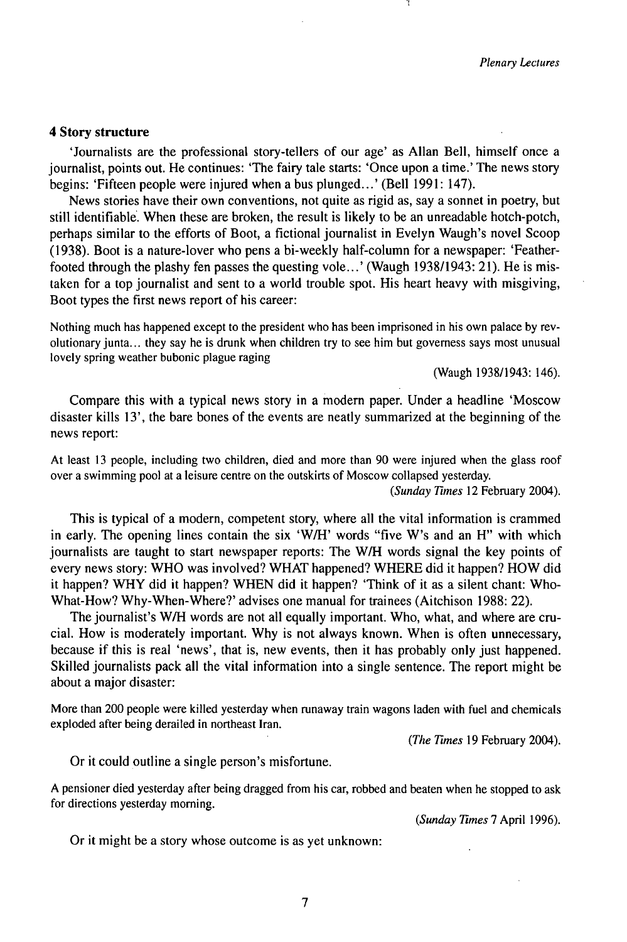#### **4 Story structure**

'Journalists are the professional story-tellers of our age' as Allan Bell, himself once a journalist, points out. He continues: 'The fairy tale starts: 'Once upon a time.' The news story begins: 'Fifteen people were injured when a bus plunged...' (Bell 1991: 147).

News stories have their own conventions, not quite as rigid as, say a sonnet in poetry, but still identifiable. When these are broken, the result is likely to be an unreadable hotch-potch, perhaps similar to the efforts of Boot, a fictional journalist in Evelyn Waugh's novel Scoop (1938). Boot is a nature-lover who pens a bi-weekly half-column for a newspaper: 'Featherfooted through the plashy fen passes the questing vole...' (Waugh 1938/1943: 21). He is mistaken for a top journalist and sent to a world trouble spot. His heart heavy with misgiving, Boot types the first news report of his career:

Nothing much has happened except to the president who has been imprisoned in his own palace by revolutionary junta... they say he is drunk when children try to see him but governess says most unusual lovely spring weather bubonic plague raging

(Waugh 1938/1943:146).

Compare this with a typical news story in a modern paper. Under a headline 'Moscow disaster kills 13', the bare bones of the events are neatly summarized at the beginning of the news report:

At least 13 people, including two children, died and more than 90 were injured when the glass roof over a swimming pool at a leisure centre on the outskirts of Moscow collapsed yesterday.

*(Sunday Times* 12 February 2004).

This is typical of a modern, competent story, where all the vital information is crammed in early. The opening lines contain the six 'W/H' words "five W's and an H" with which journalists are taught to start newspaper reports: The W/H words signal the key points of every news story: WHO was involved? WHAT happened? WHERE did it happen? HOW did it happen? WHY did it happen? WHEN did it happen? 'Think of it as a silent chant: Who-What-How? Why-When-Where?' advises one manual for trainees (Aitchison 1988: 22).

The journalist's W/H words are not all equally important. Who, what, and where are crucial. How is moderately important. Why is not always known. When is often unnecessary, because if this is real 'news', that is, new events, then it has probably only just happened. Skilled journalists pack all the vital information into a single sentence. The report might be about a major disaster:

More than 200 people were killed yesterday when runaway train wagons laden with fuel and chemicals exploded after being derailed in northeast Iran.

*(The Times* 19 February 2004).

Or it could outline a single person's misfortune.

A pensioner died yesterday after being dragged from his car, robbed and beaten when he stopped to ask for directions yesterday morning.

*(Sunday Times* 7 April 1996).

Or it might be a story whose outcome is as yet unknown: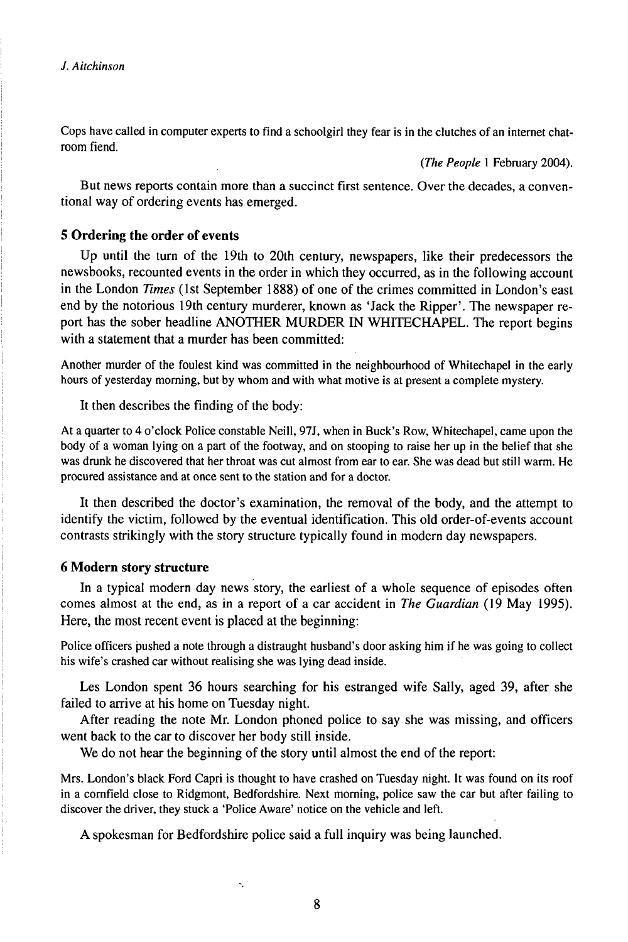Cops have called in computer experts to find a schoolgirl they fear is in the clutches of an internet chatroom fiend.

*(The People* <sup>1</sup> February 2004).

But news reports contain more than a succinct first sentence. Over the decades, a conventional way of ordering events has emerged.

# **5 Ordering the order of events**

Up until the turn of the 19th to 20th century, newspapers, like their predecessors the newsbooks, recounted events in the order in which they occurred, as in the following account in the London *Times* (1st September 1888) of one of the crimes committed in London's east end by the notorious 19th century murderer, known as 'Jack the Ripper'. The newspaper report has the sober headline ANOTHER MURDER IN WHITECHAPEL. The report begins with a statement that a murder has been committed:

Another murder of the foulest kind was committed in the neighbourhood of Whitechapel in the early hours of yesterday morning, but by whom and with what motive is at present a complete mystery.

It then describes the finding of the body:

At a quarter to 4 o'clock Police constable Neill, 97J, when in Buck's Row, Whitechapel, came upon the body of a woman lying on a part of the footway, and on stooping to raise her up in the belief that she was drunk he discovered that her throat was cut almost from ear to ear. She was dead but still warm. He procured assistance and at once sent to the station and for a doctor.

It then described the doctor's examination, the removal of the body, and the attempt to identify the victim, followed by the eventual identification. This old order-of-events account contrasts strikingly with the story structure typically found in modern day newspapers.

# **6 Modern story structure**

In a typical modern day news story, the earliest of a whole sequence of episodes often comes almost at the end, as in a report of a car accident in *The Guardian* (19 May 1995). Here, the most recent event is placed at the beginning:

Police officers pushed a note through a distraught husband's door asking him if he was going to collect his wife's crashed car without realising she was lying dead inside.

Les London spent 36 hours searching for his estranged wife Sally, aged 39, after she failed to arrive at his home on Tuesday night.

After reading the note Mr. London phoned police to say she was missing, and officers went back to the car to discover her body still inside.

We do not hear the beginning of the story until almost the end of the report:

Mrs. London's black Ford Capri is thought to have crashed on Tuesday night. It was found on its roof in a cornfield close to Ridgmont, Bedfordshire. Next morning, police saw the car but after failing to discover the driver, they stuck a 'Police Aware' notice on the vehicle and left.

A spokesman for Bedfordshire police said a full inquiry was being launched.

٠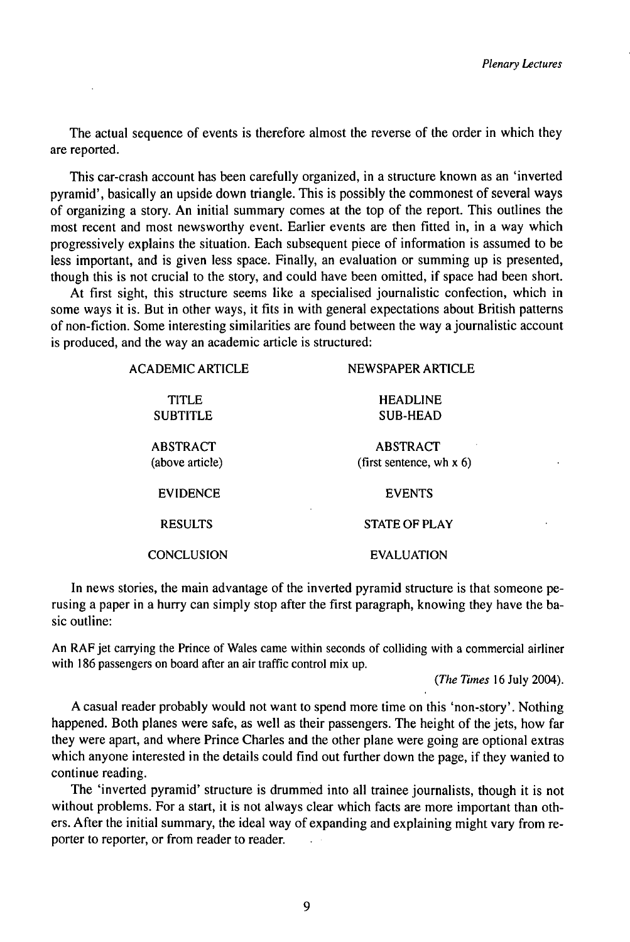The actual sequence of events is therefore almost the reverse of the order in which they are reported.

This car-crash account has been carefully organized, in a structure known as an 'inverted pyramid', basically an upside down triangle. This is possibly the commonest of several ways of organizing a story. An initial summary comes at the top of the report. This outlines the most recent and most newsworthy event. Earlier events are then fitted in, in a way which progressively explains the situation. Each subsequent piece of information is assumed to be less important, and is given less space. Finally, an evaluation or summing up is presented, though this is not crucial to the story, and could have been omitted, if space had been short.

At first sight, this structure seems like a specialised journalistic confection, which in some ways it is. But in other ways, it fits in with general expectations about British patterns of non-fiction. Some interesting similarities are found between the way ajournalistic account is produced, and the way an academic article is structured:

| <b>ACADEMIC ARTICLE</b> | NEWSPAPER ARTICLE          |
|-------------------------|----------------------------|
| TITLE                   | <b>HEADLINE</b>            |
| <b>SUBTITLE</b>         | <b>SUB-HEAD</b>            |
| <b>ABSTRACT</b>         | <b>ABSTRACT</b>            |
| (above article)         | (first sentence, wh $x$ 6) |
| <b>EVIDENCE</b>         | <b>EVENTS</b>              |
| <b>RESULTS</b>          | <b>STATE OF PLAY</b>       |
| <b>CONCLUSION</b>       | <b>EVALUATION</b>          |

In news stories, the main advantage of the inverted pyramid structure is that someone perusing a paper in a hurry can simply stop after the first paragraph, knowing they have the basic outline:

An RAF jet carrying the Prince of Wales came within seconds of colliding with a commercial airliner with 186 passengers on board after an air traffic control mix up.

(The Times  $16$  July 2004).

A casual reader probably would not want to spend more time on this 'non-story'. Nothing happened. Both planes were safe, as well as their passengers. The height of the jets, how far they were apart, and where Prince Charles and the other plane were going are optional extras which anyone interested in the details could find out further down the page, if they wanted to continue reading.

The 'inverted pyramid' structure is drummed into all trainee journalists, though it is not without problems. For a start, it is not always clear which facts are more important than others. After the initial summary, the ideal way of expanding and explaining might vary from reporter to reporter, or from reader to reader.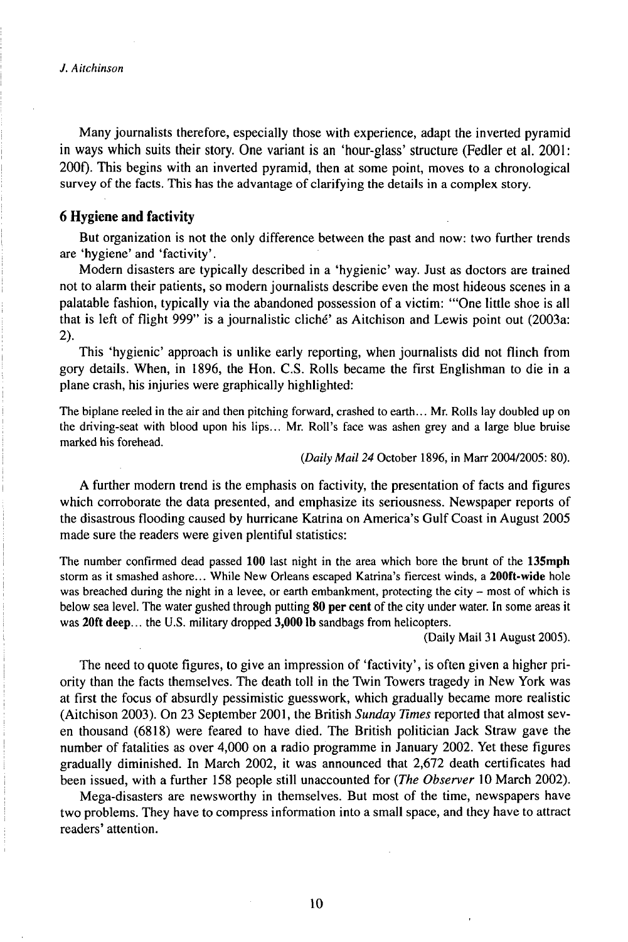Many journalists therefore, especially those with experience, adapt the inverted pyramid in ways which suits their story. One variant is an 'hour-glass' structure (Fedler et al. 2001: 200f). This begins with an inverted pyramid, then at some point, moves to a chronological survey of the facts. This has the advantage of clarifying the details in a complex story.

# **6 Hygiene and factivity**

But organization is not the only difference between the past and now: two further trends are 'hygiene' and 'factivity'.

Modern disasters are typically described in a 'hygienic' way. Just as doctors are trained not to alarm their patients, so modern journalists describe even the most hideous scenes in a palatable fashion, typically via the abandoned possession of a victim: "'One little shoe is all that is left of flight 999" is a journalistic cliché' as Aitchison and Lewis point out (2003a: 2).

This 'hygienic' approach is unlike early reporting, when journalists did not flinch from gory details. When, in 1896, the Hon. C.S. Rolls became the first Englishman to die in a plane crash, his injuries were graphically highlighted:

The biplane reeled in the air and then pitching forward, crashed to earth... Mr. Rolls lay doubled up on the driving-seat with blood upon his lips... Mr. Roll's face was ashen grey and a large blue bruise marked his forehead.

*{Daily Mail 24* October 1896, in Marr 2004/2005: 80).

A further modern trend is the emphasis on factivity, the presentation of facts and figures which corroborate the data presented, and emphasize its seriousness. Newspaper reports of the disastrous flooding caused by hurricane Katrina on America's Gulf Coast in August 2005 made sure the readers were given plentiful statistics:

The number confirmed dead passed **100** last night in the area which bore the brunt of the **13Smph** storm as it smashed ashore... While New Orleans escaped Katrina's fiercest winds, <sup>a</sup> 200ft-wide hole was breached during the night in a levee, or earth embankment, protecting the city  $-$  most of which is below sea level. The water gushed through putting 80 **per** cent of the city under water. In some areas it was 20ft **deep.**.. the U.S. military dropped **3,000** lb sandbags from helicopters.

(Daily Mail 31 August 2005).

The need to quote figures, to give an impression of 'factivity', is often given a higher priority than the facts themselves. The death toll in the Twin Towers tragedy in New York was at first the focus of absurdly pessimistic guesswork, which gradually became more realistic (Aitchison 2003). On 23 September 2001, the British *Sunday Times* reported that almost seven thousand (6818) were feared to have died. The British politician Jack Straw gave the number of fatalities as over 4,000 on a radio programme in January 2002. Yet these figures gradually diminished. In March 2002, it was announced that 2,672 death certificates had been issued, with a further 158 people still unaccounted for *(The Observer* 10March 2002).

Mega-disasters are newsworthy in themselves. But most of the time, newspapers have two problems. They have to compress information into a small space, and they have to attract readers' attention.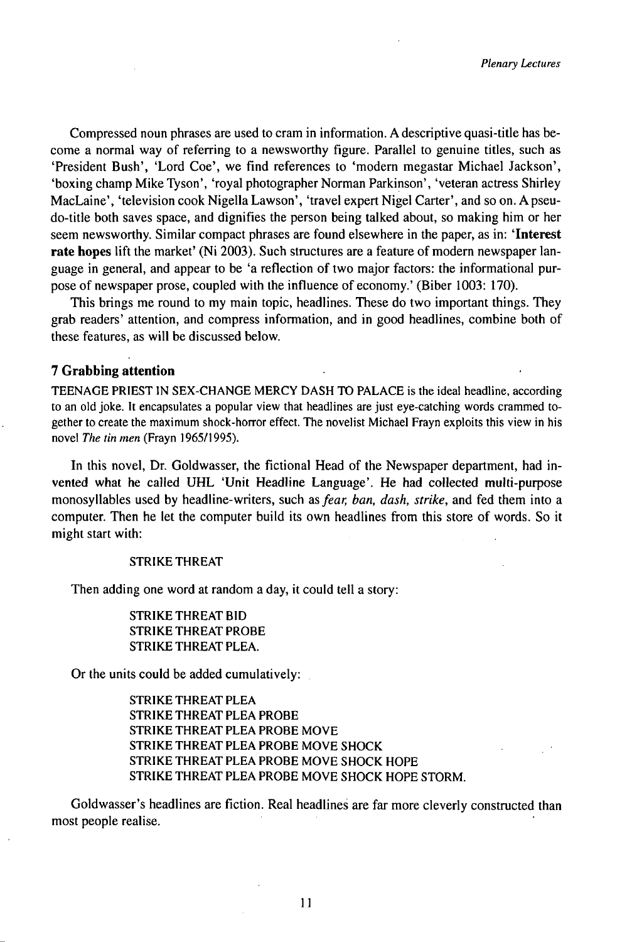Compressed noun phrases are used to cram in information.Adescriptive quasi-title has become a normal way of referring to a newsworthy figure. Parallel to genuine titles, such as 'President Bush', 'Lord Coe', we find references to 'modern megastar Michael Jackson', 'boxing champ Mike Tyson', 'royal photographer Norman Parkinson', 'veteran actress Shirley MacLaine', 'television cook Nigella Lawson', 'travel expert Nigel Carter', and so on. A pseudo-title both saves space, and dignifies the person being talked about, so making him or her seem newsworthy. Similar compact phrases are found elsewhere in the paper, as in: **'Interest rate hopes** lift the market' (Ni 2003). Such structures are a feature of modern newspaper language in general, and appear to be 'a reflection of two major factors: the informational purpose of newspaper prose, coupled with the influence of economy.' (Biber 1003: 170).

This brings me round to my main topic, headlines. These do two important things. They grab readers' attention, and compress information, and in good headlines, combine both of these features, as will be discussed below.

# **7 Grabbing attention**

TEENAGE PRIEST IN SEX-CHANGE MERCY DASH TO PALACE is the ideal headline, according to an old joke. It encapsulates a popular view that headlines are just eye-catching words crammed together to create the maximum shock-horror effect. The novelist Michael Frayn exploits this view in his novel *The tin men* (Frayn 1965/1995).

In this novel, Dr. Goldwasser, the fictional Head of the Newspaper department, had invented what he called UHL 'Unit Headline Language'. He had collected multi-purpose monosyllables used by headline-writers, such as *fear, ban, dash, strike,* and fed them into a computer. Then he let the computer build its own headlines from this store of words. So it might start with:

#### STRIKE THREAT

Then adding one word at random a day, it could tell a story:

STRIKE THREAT BID STRIKE THREAT PROBE STRIKE THREAT PLEA.

Or the units could be added cumulatively:

STRIKE THREAT PLEA STRIKE THREAT PLEA PROBE STRIKE THREAT PLEA PROBE MOVE STRIKE THREAT PLEA PROBE MOVE SHOCK STRIKE THREAT PLEA PROBE MOVE SHOCK HOPE STRIKE THREAT PLEA PROBE MOVE SHOCK HOPE STORM.

Goldwasser's headlines are fiction. Real headlines are far more cleverly constructed than most people realise.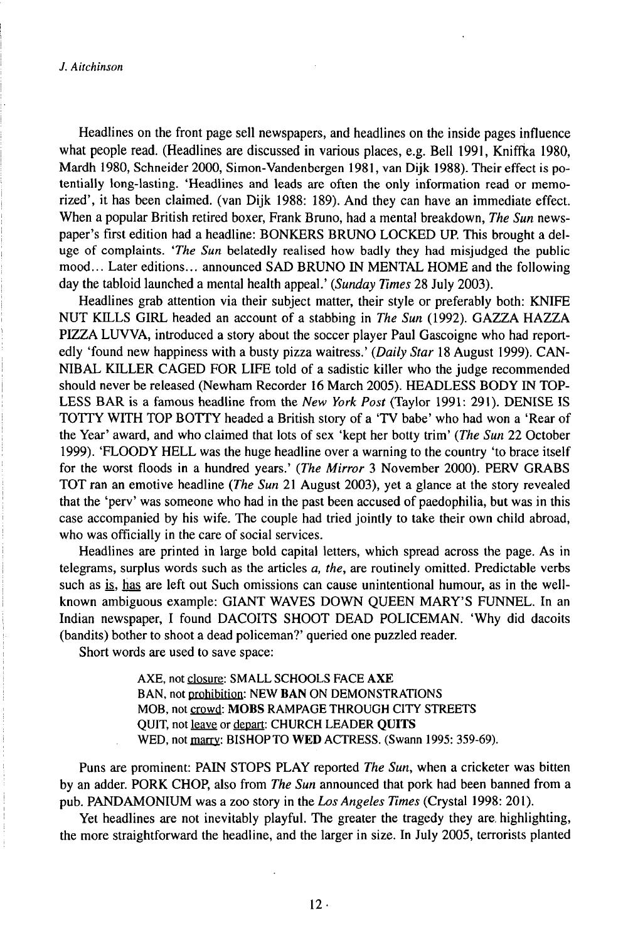*J. Aitchinson*

Headlines on the front page sell newspapers, and headlines on the inside pages influence what people read. (Headlines are discussed in various places, e.g. Bell 1991, Kniffka 1980, Mardh 1980, Schneider 2000, Simon-Vandenbergen 1981, van Dijk 1988). Their effect is potentially long-lasting. 'Headlines and leads are often the only information read or memorized', it has been claimed, (van Dijk 1988: 189). And they can have animmediate effect. When a popular British retired boxer, Frank Bruno, had a mental breakdown, *The Sun* newspaper's first edition had a headline: BONKERS BRUNO LOCKED UP. This brought a deluge of complaints. *'The Sun* belatedly realised how badly they had misjudged the public mood... Later editions... announced SAD BRUNO *W* MENTAL HOME and the following day the tabloid launched a mental health appeal.' *(Sunday Times* 28 July 2003).

Headlines grab attention via their subject matter, their style or preferably both: KNIFE NUT KILLS GIRL headed an account of a stabbing in *The Sun* (1992). GAZZA HAZZA PIZZA LUVVA, introduced a story about the soccer player Paul Gascoigne who had reportedly 'found new happiness with a busty pizza waitress.' *(Daily Star* 18 August 1999). CAN-NIBAL KTLLER CAGED FOR LIFE told of a sadistic killer who the judge recommended should never be released (Newham Recorder 16 March 2005). HEADLESS BODY IN TOP-LESS BAR is a famous headline from the *New York Post* (Taylor 1991: 291). DENISE IS TOTTY WITH TOP BOTTY headed a British story of a 'TV babe' who had won a 'Rear of the Year' award, and who claimed that lots of sex 'kept her botty trim' *(The Sun* 22 October 1999). 'FLOODY HELL was the huge headline over a warning to the country 'to brace itself for the worst floods in a hundred years.' *(The Mirror* 3 November 2000). PERV GRABS TOT ran an emotive headline *(The Sun* 21 August 2003), yet a glance at the story revealed that the 'perv' was someone who had in the past been accused of paedophilia, but was in this case accompanied by his wife. The couple had tried jointly to take their own child abroad, who was officially in the care of social services.

Headlines are printed in large bold capital letters, which spread across the page. As in telegrams, surplus words such as the articles *a, the,* are routinely omitted. Predictable verbs such as *is*, has are left out Such omissions can cause unintentional humour, as in the wellknown ambiguous example: GIANT WAVES DOWN QUEEN MARY'S FUNNEL. In an Indian newspaper, I found DACOITS SHOOT DEAD POLICEMAN. 'Why did dacoits (bandits) bother to shoot a dead policeman?' queried one puzzled reader.

Short words are used to save space:

AXE, not closure: SMALL SCHOOLS FACE AXE BAN, not prohibition: NEW BAN ON DEMONSTRATIONS MOB, not crowd: MOBS RAMPAGE THROUGH CITY STREETS QUIT, not leave or depart: CHURCH LEADER QUITS WED, not marry: BISHOPTO WED ACTRESS. (Swann 1995: 359-69).

Puns are prominent: PAfN STOPS PLAY reported *The Sun,* when a cricketer was bitten by an adder. PORK CHOP, also from *The Sun* announced that pork had been banned from a pub. PANDAMONIUM was a zoo story in the *LosAngeles Times* (Crystal 1998: 201).

Yet headlines are not inevitably playful. The greater the tragedy they are. highlighting, the more straightforward the headline, and the larger in size. In July 2005, terrorists planted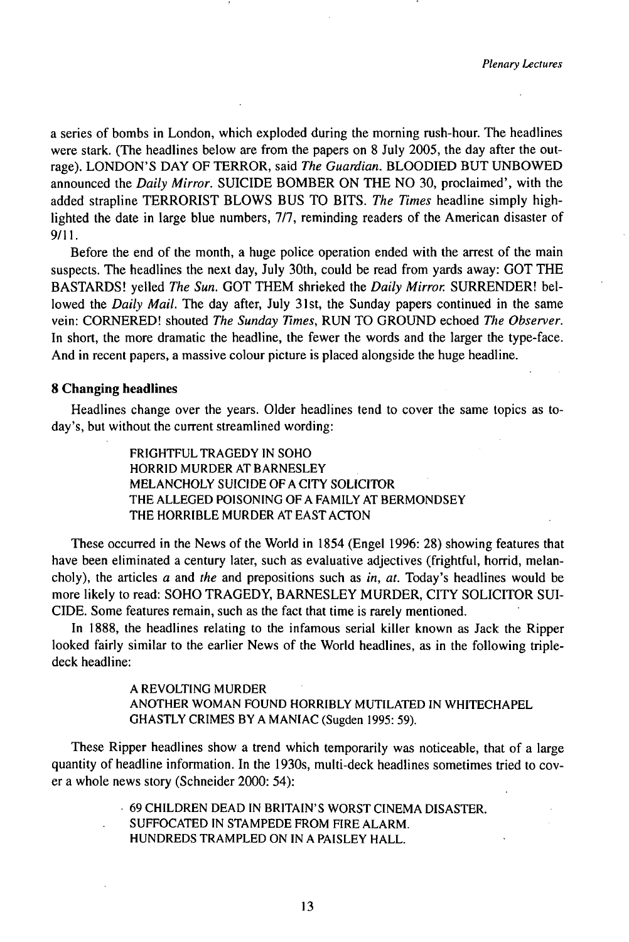a series of bombs in London, which exploded during the morning rush-hour. The headlines were stark. (The headlines below are from the papers on 8 July 2005, the day after the outrage). LONDON'S DAY OF TERROR, said *The Guardian.* BLOODJED BUT UNBOWED announced the *Daily Mirror.* SUICIDE BOMBER ON THE NO 30, proclaimed', with the added strapline TERRORIST BLOWS BUS TO BITS. *The Times* headline simply highlighted the date in large blue numbers, 7/7, reminding readers of the American disaster of 9/11.

Before the end of the month, a huge police operation ended with the arrest of the main suspects. The headlines the next day, July 30th, could be read from yards away: GOT THE BASTARDS! yelled *The Sun.* GOT THEM shrieked the *Daily Mirror.* SURRENDER! bellowed the *Daily Mail.* The day after, July 31st, the Sunday papers continued in the same vein: CORNERED! shouted *The Sunday Times,* RUN TO GROUND echoed *The Observer.* In short, the more dramatic the headline, the fewer the words and the larger the type-face. And in recent papers, a massive colour picture is placed alongside the huge headline.

#### **8 Changing headlines**

Headlines change over the years. Older headlines tend to cover the same topics as today's, but without the current streamlined wording:

> FRIGHTFUL TRAGEDY IN SOHO HORRID MURDER AT BARNESLEY MELANCHOLY SUICIDE OF A CITY SOLICITOR THE ALLEGED POISONING OF A FAMILY AT BERMONDSEY THE HORRIBLE MURDER AT EAST ACTON

These occurred in the News of the World in 1854 (Engel 1996: 28) showing features that have been eliminated a century later, such as evaluative adjectives (frightful, horrid, melancholy), the articles *a* and *the* and prepositions such as *in, at.* Today's headlines would be more likely to read: SOHO TRAGEDY, BARNESLEY MURDER, CITY SOLICITOR SUI-CIDE. Some features remain, such as the fact that time is rarely mentioned.

In 1888, the headlines relating to the infamous serial killer known as Jack the Ripper looked fairly similar to the earlier News of the World headlines, as in the following tripledeck headline:

> A REVOLTING MURDER ANOTHER WOMAN FOUND HORRIBLY MUTILATED IN WHITECHAPEL GHASTLY CRIMES BY A MANIAC (Sugden 1995: 59).

These Ripper headlines show a trend which temporarily was noticeable, that of a large quantity of headline information. In the 1930s, multi-deck headlines sometimes tried to cover a whole news story (Schneider 2000: 54):

> 69CHILDRENDEADINBRITAIN'SWORSTCINEMADISASTER. SUFFOCATED IN STAMPEDE FROM FIRE ALARM. HUNDREDS TRAMPLED ON IN A PAISLEY HALL.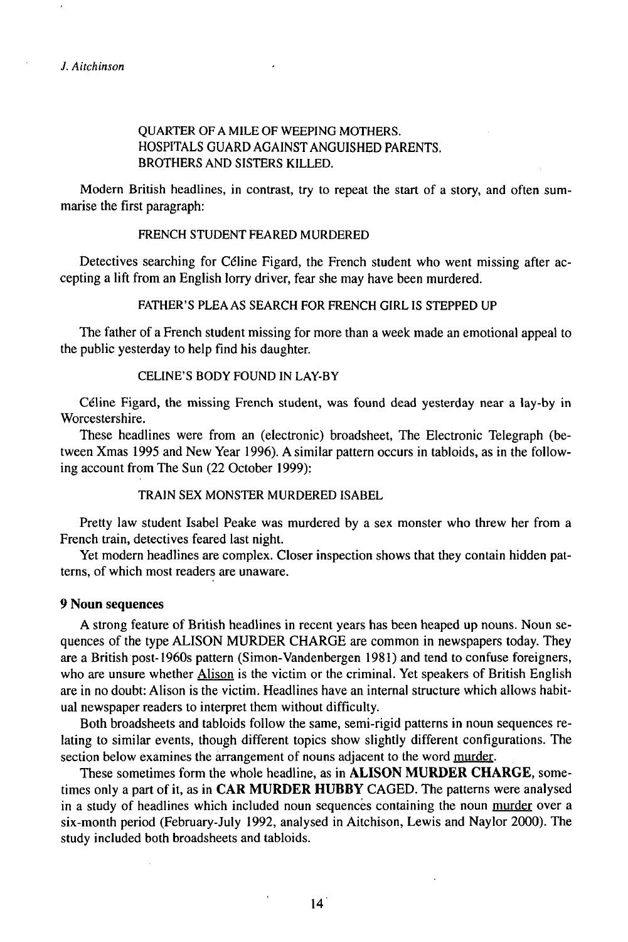# QUARTER OF A MILE OF WEEPING MOTHERS. HOSPITALS GUARD AGAINST ANGUISHED PARENTS. BROTHERS AND SISTERS KILLED.

Modern British headlines, in contrast, try to repeat the start of a story, and often summarise the first paragraph:

# FRENCH STUDENT FEARED MURDERED

Detectives searching for Céline Figard, the French student who went missing after accepting a lift from an English lorry driver, fear she may have been murdered.

# FATHER'S PLEAAS SEARCH FOR FRENCH GIRL IS STEPPED UP

The father of a French student missing for more than a week made an emotional appeal to the public yesterday to help find his daughter.

# CELINE'S BODY FOUND IN LAY-BY

Céline Figard, the missing French student, was found dead yesterday near a lay-by in Worcestershire.

These headlines were from an (electronic) broadsheet, The Electronic Telegraph (between Xmas 1995 and New Year 1996). A similar pattern occurs in tabloids, as in the following account from The Sun (22 October 1999):

TRAIN SEX MONSTER MURDERED ISABEL

Pretty law student Isabel Peake was murdered by a sex monster who threw her from a French train, detectives feared last night.

Yet modern headlines are complex. Closer inspection shows that they contain hidden patterns, of which most readers are unaware.

# **9 Noun sequences**

A strong feature of British headlines in recent years has been heaped up nouns. Noun sequences of the type ALISON MURDER CHARGE are common in newspapers today. They are a British post-1960s pattern (Simon-Vandenbergen 1981) and tend to confuse foreigners, who are unsure whether Alison is the victim or the criminal. Yet speakers of British English are in no doubt: Alison is the victim. Headlines have an internal structure which allows habitual newspaper readers to interpret them without difficulty.

Both broadsheets and tabloids follow the same, semi-rigid patterns in noun sequences relating to similar events, though different topics show slightly different configurations. The section below examines the arrangement of nouns adjacent to the word murder.

These sometimes form the whole headline, as in **ALISON MURDER CHARGE,** sometimes only a part ofit, as in **CAR MURDER HUBBY** CAGED. The patterns were analysed in a study of headlines which included noun sequences containing the noun murder over a six-month period (February-July 1992, analysed in Aitchison, Lewis and Naylor 2000). The study included both broadsheets and tabloids.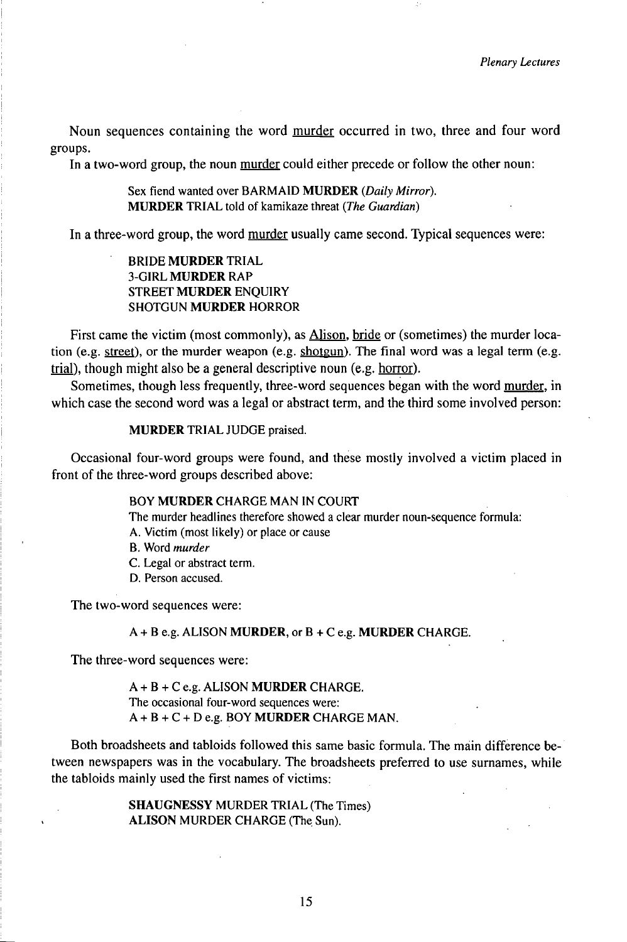Noun sequences containing the word murder occurred in two, three and four word groups.

In a two-word group, the noun murder could either precede or follow the other noun:

Sex fiend wanted over BARMAID **MURDER** *(Daily Mirror).* **MURDER** TRIAL told of kamikaze threat *(The Guardian)*

In a three-word group, the word murder usually came second. Typical sequences were:

# BRIDE **MURDER** TRIAL 3-GIRL MURDER RAP STREET **MURDER** ENQUIRY SHOTGUN **MURDER** HORROR

First came the victim (most commonly), as Alison, bride or (sometimes) the murder location (e.g. street), or the murder weapon (e.g. shotgun). The final word was a legal term (e.g. trial), though might also be a general descriptive noun (e.g. horror).

Sometimes, though less frequently, three-word sequences began with the word murder, in which case the second word was a legal or abstract term, and the third some involved person:

#### **MURDER** TRIAL JUDGE praised.

Occasional four-word groups were found, and these mostly involved a victim placed in front of the three-word groups described above:

## BOY **MURDER** CHARGE MAN lN COURT

The murder headlines therefore showed a clear murder noun-sequence formula:

- A. Victim (most likely) or place or cause
- B. Word *murder*
- C. Legal or abstract term.
- D. Person accused.

The two-word sequences were:

#### A + B e.g. ALISON **MURDER,** or **B + C e.g. MURDER** CHARGE.

The three-word sequences were:

A + B + C e.g. ALISON **MURDER** CHARGE. The occasional four-word sequences were: A + B + C + D e.g. BOY **MURDER** CHARGE MAN.

Both broadsheets and tabloids followed this same basic formula. The main difference between newspapers was in the vocabulary. The broadsheets preferred to use surnames, while the tabloids mainly used the first names of victims:

> SHAUGNESSY MURDER TRIAL (The Times) ALISON MURDER CHARGE (The Sun).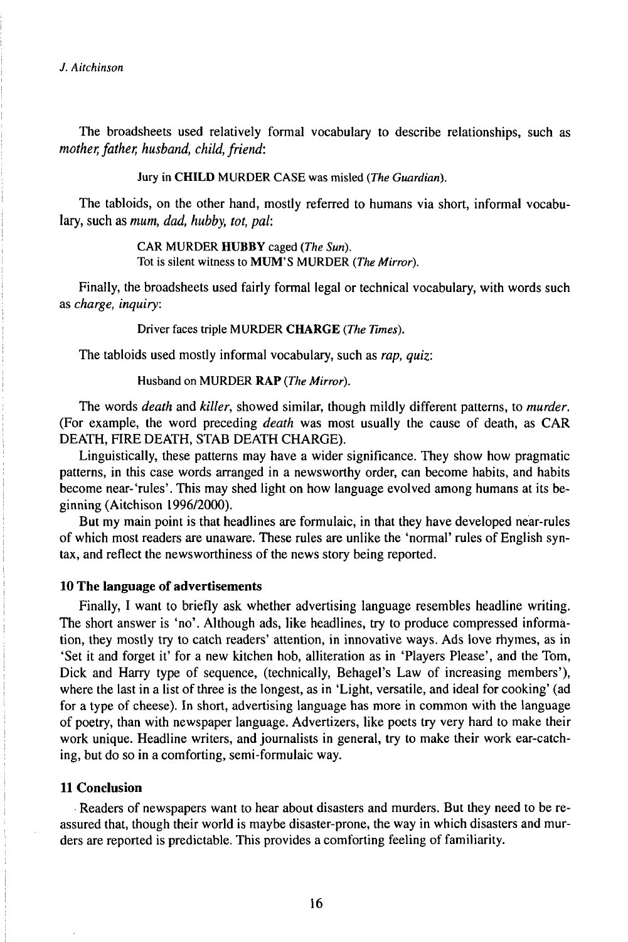*J. Aitchìnson*

The broadsheets used relatively formal vocabulary to describe relationships, such as *mother, father, husband, child, friend:* 

Jury in **CHILD** MURDER CASE was misled *(The Guardian).*

The tabloids, on the other hand, mostly referred to humans via short, informal vocabulary, such as *mum, dad, hubby, tot, pal:*

> CAR MURDER **HUBBY** caged *(The Sun).* Tot is silent witness to MUM'S MURDER *(The Mirror).*

Finally, the broadsheets used fairly formal legal or technical vocabulary, with words such as *charge, inquiry:*

Driver faces triple MURDER CHARGE *(The Times).*

The tabloids used mostly informal vocabulary, such as *rap, quiz:*

Husband on MURDER **RAP** *(The Mirror).*

The words *death* and *killer,* showed similar, though mildly different patterns, to *murder.* (For example, the word preceding *death* was most usually the cause of death, as CAR DEATH, FIRE DEATH, STAB DEATH CHARGE).

Linguistically, these patterns may have a wider significance. They show how pragmatic patterns, in this case words arranged in a newsworthy order, can become habits, and habits become near-'rules'. This may shed light on how language evolved among humans at its beginning (Aitchison 1996/2000).

But my main point is that headlines are formulaic, in that they have developed near-rules of which most readers are unaware. These rules are unlike the 'normal' rules of English syntax, and reflect the newsworthiness of the news story being reported.

# **10 The language of advertisements**

Finally, I want to briefly ask whether advertising language resembles headline writing. The short answer is 'no'. Although ads, like headlines, try to produce compressed information, they mostly try to catch readers' attention, in innovative ways. Ads love rhymes, as in 'Set it and forget it' for a new kitchen hob, alliteration as in 'Players Please', and the Tom, Dick and Harry type of sequence, (technically, Behagel's Law of increasing members'), where the last in a list of three is the longest, as in 'Light, versatile, and ideal for cooking' (ad for a type of cheese). In short, advertising language has more in common with the language of poetry, than with newspaper language. Advertizers, like poets try very hard to make their work unique. Headline writers, and journalists in general, try to make their work ear-catching, but do so in a comforting, semi-formulaic way.

# **11 Conclusion**

Readers of newspapers want to hear about disasters and murders. But they need to be reassured that, though their world is maybe disaster-prone, the way in which disasters and murders are reported is predictable. This provides a comforting feeling of familiarity.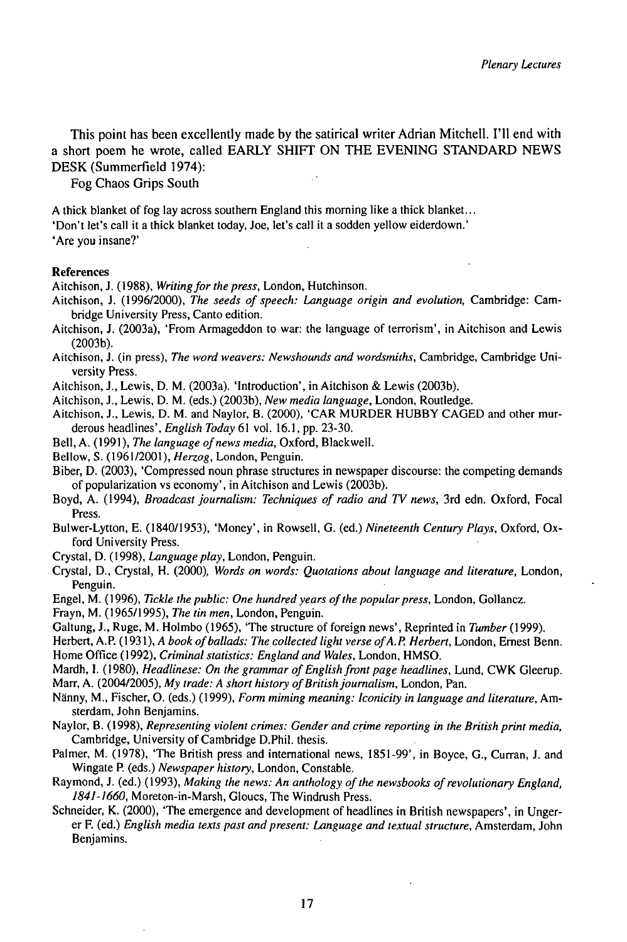This point has been excellently made by the satirical writer Adrian Mitchell. I'll end with a short poem he wrote, called EARLY SHIFT ON THE EVENING STANDARD NEWS DESK(Summerfield 1974):

Fog Chaos Grips South

<sup>A</sup> thick blanket of fog lay across southern England this morning like <sup>a</sup> thick blanket... 'Don't let's call it a thick blanket today, Joe, let's call it a sodden yellow eiderdown.' 'Are you insane?'

#### References

Aitchison, J. (1988), *Writing for the press*, London, Hutchinson.

- Aitchison, J. (1996/2000), *The seeds ofspeech: Language origin and evolution,* Cambridge: Cambridge University Press, Canto edition.
- Aitchison, J. (2003a), 'From Armageddon to war: the language of terrorism', in Aitchison and Lewis (2003b).
- Aitchison, J. (in press), *The word weavers: Newshounds and wordsmiths,* Cambridge, Cambridge University Press.
- Aitchison, J., Lewis, D. M. (2003a). 'Introduction', in Aitchison & Lewis (2003b).
- Aitchison, J., Lewis, D. M. (eds.) (2003b), *New media language,* London, Routledge.
- Aitchison, J., Lewis, D. M. and Naylor, B. (2000), 'CAR MURDER HUBBY CAGED and other murderous headlines', *English Today* 61 vol. 16.1, pp. 23-30.
- Bell, A. (1991), *The language ofnews media,* Oxford, Blackwell.
- Bellow, S. (1961/2001), *Herzog,* London, Penguin.

Biber, D. (2003), 'Compressed noun phrase structures in newspaper discourse: the competing demands of popularization vs economy', in Aitchison and Lewis (2003b).

- Boyd, A. (1994), *Broadcastjournalism: Techniques ofradio and TVnews,* 3rd edn. Oxford, Focal Press.
- Bulwer-Lytton, E. (1840/1953), 'Money', in Rowsell, G. (ed.) *Nineteenth Century Plays,* Oxford, Oxford University Press.
- Crystal, D. (1998), *Language play*, London, Penguin.
- Crystal, D., Crystal, H. (2000), *Words on words: Quotations about language and literature,* London, Penguin.
- Engel, M. (1996), *Tickle the public: One hundred years of the popular press*, London, Gollancz.
- Frayn, M. (1965/1995), *The tin men,* London, Penguin.
- Galtung, J., Ruge, M. Holmbo (1965), 'The structure of foreign news', Reprinted in *Tumber* (1999).

Herbert, A.P. (1931), *A book ofballads: The collected light verse ofA.P. Herbert,* London, Ernest Benn. Home Office (1992), *Criminal statistics: England and Wales,* London, HMSO.

- Mardh, I. (1980), *Headlinese: On the grammar ofEnglishfrontpage headlines,* Lund, CWK Gleerup. Marr, A. (2004/2005), *My trade: A short history ofBritishjournalism,* London, Pan.
- Nänny, M., Fischer, O. (eds.) (1999), *Form miming meaning: ¡conicity in language and literature,* Amsterdam, John Benjamins.
- Naylor, B. (1998), *Representing violent crimes: Gender and crime reporting in the British print media,* Cambridge, University of Cambridge D.Phil. thesis.
- Palmer, M. (1978), 'The British press and international news, 1851-99', in Boyce, G., Curran, J. and Wingate P. (eds.) *Newspaper history,* London, Constable.
- Raymond, J. (ed.) (1993), *Making the news: An anthology ofthe newsbooks ofrevolutionary England, 1841-1660,* Moreton-in-Marsh, Gloucs, The Windrush Press.
- Schneider, K. (2000), 'The emergence and development of headlines in British newspapers', in Ungerer F. (ed.) *English media texts past and present: Language and textual structure,* Amsterdam, John Benjamins.